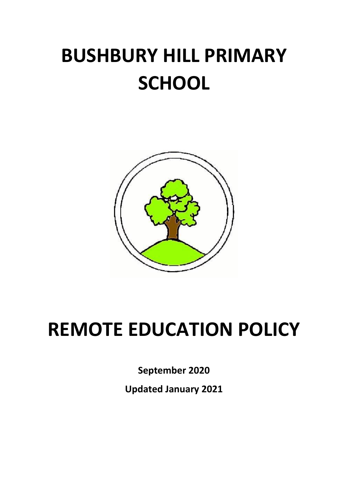# **BUSHBURY HILL PRIMARY SCHOOL**



# **REMOTE EDUCATION POLICY**

**September 2020**

**Updated January 2021**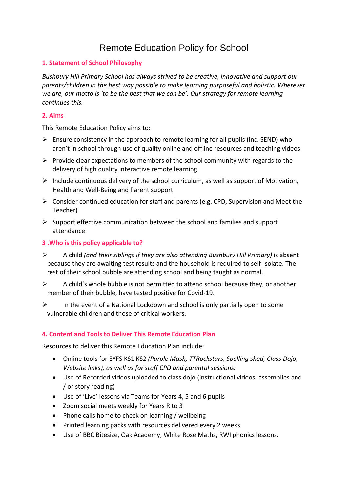# Remote Education Policy for School

# **1. Statement of School Philosophy**

*Bushbury Hill Primary School has always strived to be creative, innovative and support our parents/children in the best way possible to make learning purposeful and holistic. Wherever we are, our motto is 'to be the best that we can be'. Our strategy for remote learning continues this.* 

# **2. Aims**

This Remote Education Policy aims to:

- $\triangleright$  Ensure consistency in the approach to remote learning for all pupils (Inc. SEND) who aren't in school through use of quality online and offline resources and teaching videos
- $\triangleright$  Provide clear expectations to members of the school community with regards to the delivery of high quality interactive remote learning
- $\triangleright$  Include continuous delivery of the school curriculum, as well as support of Motivation, Health and Well-Being and Parent support
- ➢ Consider continued education for staff and parents (e.g. CPD, Supervision and Meet the Teacher)
- $\triangleright$  Support effective communication between the school and families and support attendance

# **3 .Who is this policy applicable to?**

- ➢ A child *(and their siblings if they are also attending Bushbury Hill Primary)* is absent because they are awaiting test results and the household is required to self-isolate. The rest of their school bubble are attending school and being taught as normal.
- $\triangleright$  A child's whole bubble is not permitted to attend school because they, or another member of their bubble, have tested positive for Covid-19.
- $\triangleright$  In the event of a National Lockdown and school is only partially open to some vulnerable children and those of critical workers.

# **4. Content and Tools to Deliver This Remote Education Plan**

Resources to deliver this Remote Education Plan include:

- Online tools for EYFS KS1 KS2 *(Purple Mash, TTRockstars, Spelling shed, Class Dojo, Website links), as well as for staff CPD and parental sessions.*
- Use of Recorded videos uploaded to class dojo (instructional videos, assemblies and / or story reading)
- Use of 'Live' lessons via Teams for Years 4, 5 and 6 pupils
- Zoom social meets weekly for Years R to 3
- Phone calls home to check on learning / wellbeing
- Printed learning packs with resources delivered every 2 weeks
- Use of BBC Bitesize, Oak Academy, White Rose Maths, RWI phonics lessons.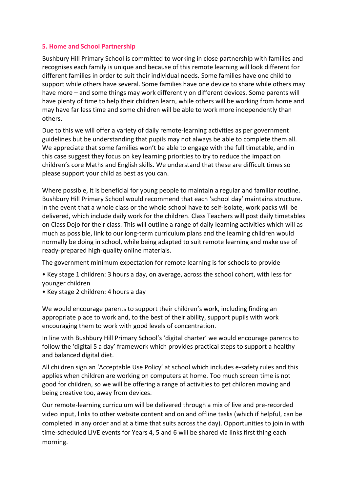# **5. Home and School Partnership**

Bushbury Hill Primary School is committed to working in close partnership with families and recognises each family is unique and because of this remote learning will look different for different families in order to suit their individual needs. Some families have one child to support while others have several. Some families have one device to share while others may have more – and some things may work differently on different devices. Some parents will have plenty of time to help their children learn, while others will be working from home and may have far less time and some children will be able to work more independently than others.

Due to this we will offer a variety of daily remote-learning activities as per government guidelines but be understanding that pupils may not always be able to complete them all. We appreciate that some families won't be able to engage with the full timetable, and in this case suggest they focus on key learning priorities to try to reduce the impact on children's core Maths and English skills. We understand that these are difficult times so please support your child as best as you can.

Where possible, it is beneficial for young people to maintain a regular and familiar routine. Bushbury Hill Primary School would recommend that each 'school day' maintains structure. In the event that a whole class or the whole school have to self-isolate, work packs will be delivered, which include daily work for the children. Class Teachers will post daily timetables on Class Dojo for their class. This will outline a range of daily learning activities which will as much as possible, link to our long-term curriculum plans and the learning children would normally be doing in school, while being adapted to suit remote learning and make use of ready-prepared high-quality online materials.

The government minimum expectation for remote learning is for schools to provide

- Key stage 1 children: 3 hours a day, on average, across the school cohort, with less for younger children
- Key stage 2 children: 4 hours a day

We would encourage parents to support their children's work, including finding an appropriate place to work and, to the best of their ability, support pupils with work encouraging them to work with good levels of concentration.

In line with Bushbury Hill Primary School's 'digital charter' we would encourage parents to follow the 'digital 5 a day' framework which provides practical steps to support a healthy and balanced digital diet.

All children sign an 'Acceptable Use Policy' at school which includes e-safety rules and this applies when children are working on computers at home. Too much screen time is not good for children, so we will be offering a range of activities to get children moving and being creative too, away from devices.

Our remote-learning curriculum will be delivered through a mix of live and pre-recorded video input, links to other website content and on and offline tasks (which if helpful, can be completed in any order and at a time that suits across the day). Opportunities to join in with time-scheduled LIVE events for Years 4, 5 and 6 will be shared via links first thing each morning.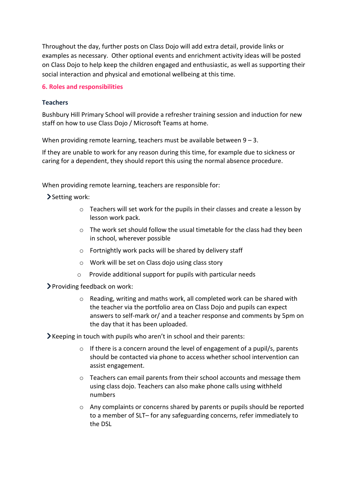Throughout the day, further posts on Class Dojo will add extra detail, provide links or examples as necessary. Other optional events and enrichment activity ideas will be posted on Class Dojo to help keep the children engaged and enthusiastic, as well as supporting their social interaction and physical and emotional wellbeing at this time.

#### **6. Roles and responsibilities**

#### **Teachers**

Bushbury Hill Primary School will provide a refresher training session and induction for new staff on how to use Class Dojo / Microsoft Teams at home.

When providing remote learning, teachers must be available between  $9 - 3$ .

If they are unable to work for any reason during this time, for example due to sickness or caring for a dependent, they should report this using the normal absence procedure.

When providing remote learning, teachers are responsible for:

Setting work:

- $\circ$  Teachers will set work for the pupils in their classes and create a lesson by lesson work pack.
- o The work set should follow the usual timetable for the class had they been in school, wherever possible
- o Fortnightly work packs will be shared by delivery staff
- o Work will be set on Class dojo using class story
- o Provide additional support for pupils with particular needs

Providing feedback on work:

o Reading, writing and maths work, all completed work can be shared with the teacher via the portfolio area on Class Dojo and pupils can expect answers to self-mark or/ and a teacher response and comments by 5pm on the day that it has been uploaded.

Keeping in touch with pupils who aren't in school and their parents:

- $\circ$  If there is a concern around the level of engagement of a pupil/s, parents should be contacted via phone to access whether school intervention can assist engagement.
- $\circ$  Teachers can email parents from their school accounts and message them using class dojo. Teachers can also make phone calls using withheld numbers
- o Any complaints or concerns shared by parents or pupils should be reported to a member of SLT– for any safeguarding concerns, refer immediately to the DSL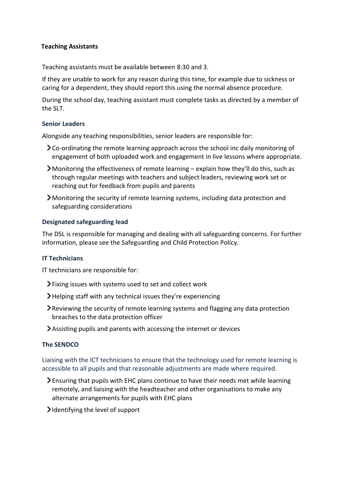# **Teaching Assistants**

Teaching assistants must be available between 8:30 and 3.

If they are unable to work for any reason during this time, for example due to sickness or caring for a dependent, they should report this using the normal absence procedure.

During the school day, teaching assistant must complete tasks as directed by a member of the SLT.

#### **Senior Leaders**

Alongside any teaching responsibilities, senior leaders are responsible for:

- Co-ordinating the remote learning approach across the school inc daily monitoring of engagement of both uploaded work and engagement in live lessons where appropriate.
- Monitoring the effectiveness of remote learning explain how they'll do this, such as through regular meetings with teachers and subject leaders, reviewing work set or reaching out for feedback from pupils and parents
- Monitoring the security of remote learning systems, including data protection and safeguarding considerations

#### **Designated safeguarding lead**

The DSL is responsible for managing and dealing with all safeguarding concerns. For further information, please see the Safeguarding and Child Protection Policy.

#### **IT Technicians**

IT technicians are responsible for:

- Fixing issues with systems used to set and collect work
- $\blacktriangleright$  Helping staff with any technical issues they're experiencing
- Reviewing the security of remote learning systems and flagging any data protection breaches to the data protection officer
- Assisting pupils and parents with accessing the internet or devices

#### **The SENDCO**

Liaising with the ICT technicians to ensure that the technology used for remote learning is accessible to all pupils and that reasonable adjustments are made where required.

- Ensuring that pupils with EHC plans continue to have their needs met while learning remotely, and liaising with the headteacher and other organisations to make any alternate arrangements for pupils with EHC plans
- $\blacktriangleright$  Identifying the level of support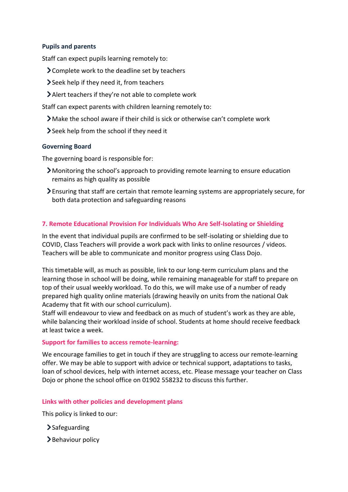# **Pupils and parents**

Staff can expect pupils learning remotely to:

- Complete work to the deadline set by teachers
- Seek help if they need it, from teachers
- Alert teachers if they're not able to complete work

Staff can expect parents with children learning remotely to:

- Make the school aware if their child is sick or otherwise can't complete work
- Seek help from the school if they need it

#### **Governing Board**

The governing board is responsible for:

- Monitoring the school's approach to providing remote learning to ensure education remains as high quality as possible
- Ensuring that staff are certain that remote learning systems are appropriately secure, for both data protection and safeguarding reasons

# **7. Remote Educational Provision For Individuals Who Are Self-Isolating or Shielding**

In the event that individual pupils are confirmed to be self-isolating or shielding due to COVID, Class Teachers will provide a work pack with links to online resources / videos. Teachers will be able to communicate and monitor progress using Class Dojo.

This timetable will, as much as possible, link to our long-term curriculum plans and the learning those in school will be doing, while remaining manageable for staff to prepare on top of their usual weekly workload. To do this, we will make use of a number of ready prepared high quality online materials (drawing heavily on units from the national Oak Academy that fit with our school curriculum).

Staff will endeavour to view and feedback on as much of student's work as they are able, while balancing their workload inside of school. Students at home should receive feedback at least twice a week.

#### **Support for families to access remote-learning:**

We encourage families to get in touch if they are struggling to access our remote-learning offer. We may be able to support with advice or technical support, adaptations to tasks, loan of school devices, help with internet access, etc. Please message your teacher on Class Dojo or phone the school office on 01902 558232 to discuss this further.

# **Links with other policies and development plans**

This policy is linked to our:

- $\sum$ Safeguarding
- >Behaviour policy